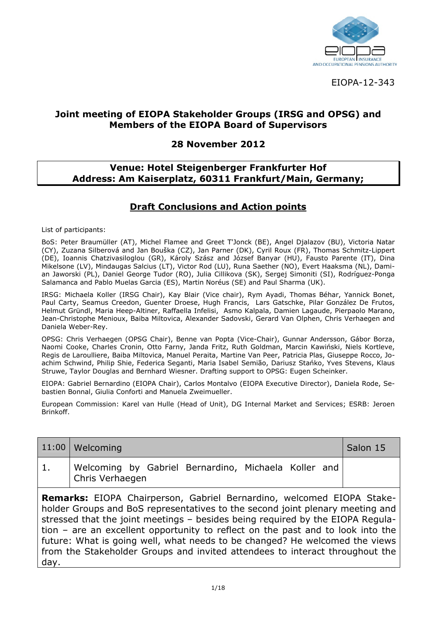

EIOPA 12 343

#### **Joint meeting of EIOPA Stakeholder Groups (IRSG and OPSG) and Members of the EIOPA Board of Supervisors**

#### **28 November 2012**

#### **Venue: Hotel Steigenberger Frankfurter Hof Address: Am Kaiserplatz, 60311 Frankfurt/Main, Germany;**

#### **Draft Conclusions and Action points**

List of participants:

BoS: Peter Braumüller (AT), Michel Flamee and Greet T'Jonck (BE), Angel Djalazov (BU), Victoria Natar (CY), Zuzana Silberová and Jan Bouška (CZ), Jan Parner (DK), Cyril Roux (FR), Thomas Schmitz Lippert (DE), Ioannis Chatzivasiloglou (GR), Károly Szász and József Banyar (HU), Fausto Parente (IT), Dina Mikelsone (LV), Mindaugas Salcius (LT), Victor Rod (LU), Runa Saether (NO), Evert Haaksma (NL), Dami an Jaworski (PL), Daniel George Tudor (RO), Julia Cillikova (SK), Sergej Simoniti (SI), Rodríguez Ponga Salamanca and Pablo Muelas Garcia (ES), Martin Noréus (SE) and Paul Sharma (UK).

IRSG: Michaela Koller (IRSG Chair), Kay Blair (Vice chair), Rym Ayadi, Thomas Béhar, Yannick Bonet, Paul Carty, Seamus Creedon, Guenter Droese, Hugh Francis, Lars Gatschke, Pilar González De Frutos, Helmut Gründl, Maria Heep Altiner, Raffaella Infelisi, Asmo Kalpala, Damien Lagaude, Pierpaolo Marano, Jean Christophe Menioux, Baiba Miltovica, Alexander Sadovski, Gerard Van Olphen, Chris Verhaegen and Daniela Weber Rey.

OPSG: Chris Verhaegen (OPSG Chair), Benne van Popta (Vice Chair), Gunnar Andersson, Gábor Borza, Naomi Cooke, Charles Cronin, Otto Farny, Janda Fritz, Ruth Goldman, Marcin Kawiński, Niels Kortleve, Regis de Laroulliere, Baiba Miltovica, Manuel Peraita, Martine Van Peer, Patricia Plas, Giuseppe Rocco, Jo achim Schwind, Philip Shie, Federica Seganti, Maria Isabel Semião, Dariusz Stańko, Yves Stevens, Klaus Struwe, Taylor Douglas and Bernhard Wiesner. Drafting support to OPSG: Eugen Scheinker.

EIOPA: Gabriel Bernardino (EIOPA Chair), Carlos Montalvo (EIOPA Executive Director), Daniela Rode, Se bastien Bonnal, Giulia Conforti and Manuela Zweimueller.

European Commission: Karel van Hulle (Head of Unit), DG Internal Market and Services; ESRB: Jeroen Brinkoff.

| 11:00 | Welcoming                                                                                                                                                                                                                                                                                                                                                                                                                                                                                  | Salon 15 |
|-------|--------------------------------------------------------------------------------------------------------------------------------------------------------------------------------------------------------------------------------------------------------------------------------------------------------------------------------------------------------------------------------------------------------------------------------------------------------------------------------------------|----------|
| 1.    | Welcoming by Gabriel Bernardino, Michaela Koller and<br>Chris Verhaegen                                                                                                                                                                                                                                                                                                                                                                                                                    |          |
| day.  | Remarks: EIOPA Chairperson, Gabriel Bernardino, welcomed EIOPA Stake-<br>holder Groups and BoS representatives to the second joint plenary meeting and<br>stressed that the joint meetings - besides being required by the EIOPA Requla-<br>tion - are an excellent opportunity to reflect on the past and to look into the<br>future: What is going well, what needs to be changed? He welcomed the views<br>from the Stakeholder Groups and invited attendees to interact throughout the |          |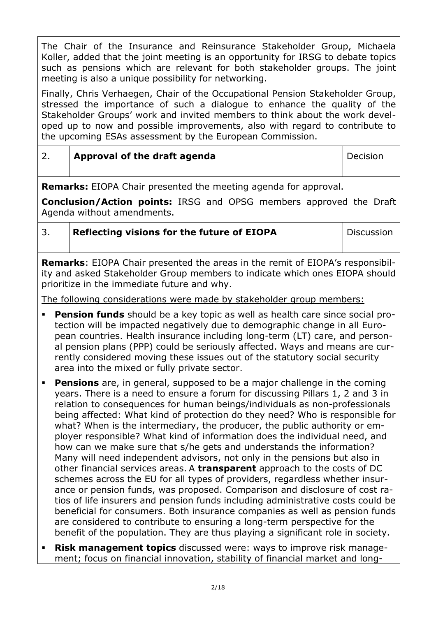The Chair of the Insurance and Reinsurance Stakeholder Group, Michaela Koller, added that the joint meeting is an opportunity for IRSG to debate topics such as pensions which are relevant for both stakeholder groups. The joint meeting is also a unique possibility for networking.

Finally, Chris Verhaegen, Chair of the Occupational Pension Stakeholder Group, stressed the importance of such a dialogue to enhance the quality of the Stakeholder Groups' work and invited members to think about the work devel oped up to now and possible improvements, also with regard to contribute to the upcoming ESAs assessment by the European Commission.

# 2. **Approval of the draft agenda Decision**

**Remarks:** EIOPA Chair presented the meeting agenda for approval.

**Conclusion/Action points:** IRSG and OPSG members approved the Draft Agenda without amendments.

| 3. | Reflecting visions for the future of EIOPA |
|----|--------------------------------------------|
|----|--------------------------------------------|

**Discussion** 

**Remarks**: EIOPA Chair presented the areas in the remit of EIOPA's responsibil ity and asked Stakeholder Group members to indicate which ones EIOPA should prioritize in the immediate future and why.

The following considerations were made by stakeholder group members:

- **Pension funds** should be a key topic as well as health care since social protection will be impacted negatively due to demographic change in all Euro pean countries. Health insurance including long term (LT) care, and person al pension plans (PPP) could be seriously affected. Ways and means are cur rently considered moving these issues out of the statutory social security area into the mixed or fully private sector.
- **Pensions** are, in general, supposed to be a major challenge in the coming years. There is a need to ensure a forum for discussing Pillars 1, 2 and 3 in relation to consequences for human beings/individuals as non professionals being affected: What kind of protection do they need? Who is responsible for what? When is the intermediary, the producer, the public authority or em ployer responsible? What kind of information does the individual need, and how can we make sure that s/he gets and understands the information? Many will need independent advisors, not only in the pensions but also in other financial services areas. A **transparent** approach to the costs of DC schemes across the EU for all types of providers, regardless whether insur ance or pension funds, was proposed. Comparison and disclosure of cost ra tios of life insurers and pension funds including administrative costs could be beneficial for consumers. Both insurance companies as well as pension funds are considered to contribute to ensuring a long term perspective for the benefit of the population. They are thus playing a significant role in society.
- **Risk management topics** discussed were: ways to improve risk manage ment; focus on financial innovation, stability of financial market and long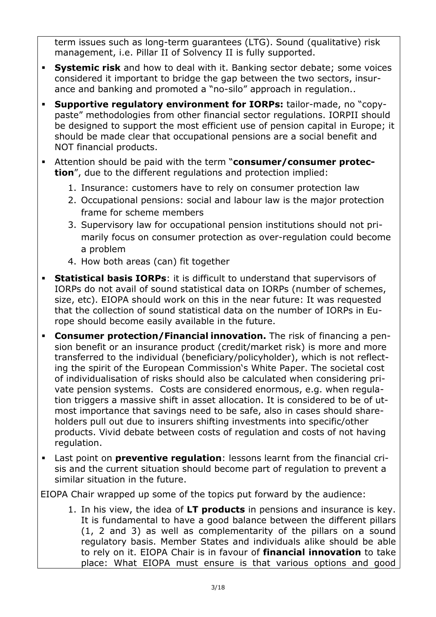term issues such as long-term guarantees (LTG). Sound (qualitative) risk management, i.e. Pillar II of Solvency II is fully supported.

- **Systemic risk** and how to deal with it. Banking sector debate; some voices considered it important to bridge the gap between the two sectors, insur ance and banking and promoted a "no silo" approach in regulation..
- **Supportive regulatory environment for IORPs:** tailor-made, no "copypaste" methodologies from other financial sector regulations. IORPII should be designed to support the most efficient use of pension capital in Europe; it should be made clear that occupational pensions are a social benefit and NOT financial products.
- Attention should be paid with the term "**consumer/consumer protection**", due to the different regulations and protection implied:
	- 1. Insurance: customers have to rely on consumer protection law
	- 2. Occupational pensions: social and labour law is the major protection frame for scheme members
	- 3. Supervisory law for occupational pension institutions should not pri marily focus on consumer protection as over regulation could become a problem
	- 4. How both areas (can) fit together
- **Statistical basis IORPs**: it is difficult to understand that supervisors of IORPs do not avail of sound statistical data on IORPs (number of schemes, size, etc). EIOPA should work on this in the near future: It was requested that the collection of sound statistical data on the number of IORPs in Eu rope should become easily available in the future.
- **Consumer protection/Financial innovation.** The risk of financing a pen sion benefit or an insurance product (credit/market risk) is more and more transferred to the individual (beneficiary/policyholder), which is not reflect ing the spirit of the European Commission's White Paper. The societal cost of individualisation of risks should also be calculated when considering pri vate pension systems. Costs are considered enormous, e.g. when regula tion triggers a massive shift in asset allocation. It is considered to be of ut most importance that savings need to be safe, also in cases should share holders pull out due to insurers shifting investments into specific/other products. Vivid debate between costs of regulation and costs of not having regulation.
- Last point on **preventive regulation**: lessons learnt from the financial cri sis and the current situation should become part of regulation to prevent a similar situation in the future.

EIOPA Chair wrapped up some of the topics put forward by the audience:

1. In his view, the idea of **LT products** in pensions and insurance is key. It is fundamental to have a good balance between the different pillars (1, 2 and 3) as well as complementarity of the pillars on a sound regulatory basis. Member States and individuals alike should be able to rely on it. EIOPA Chair is in favour of **financial innovation** to take place: What EIOPA must ensure is that various options and good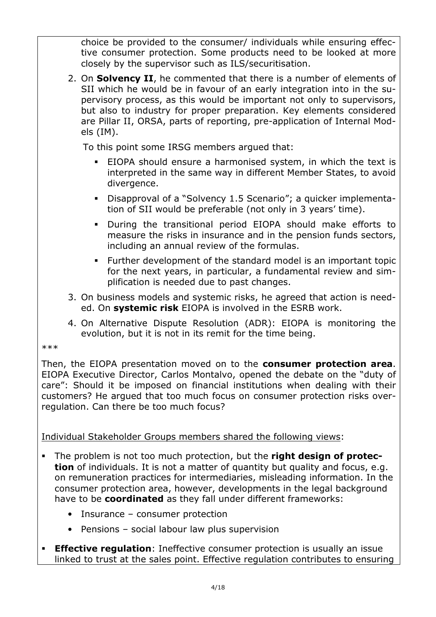choice be provided to the consumer/ individuals while ensuring effec tive consumer protection. Some products need to be looked at more closely by the supervisor such as ILS/securitisation.

2. On **Solvency II**, he commented that there is a number of elements of SII which he would be in favour of an early integration into in the su pervisory process, as this would be important not only to supervisors, but also to industry for proper preparation. Key elements considered are Pillar II, ORSA, parts of reporting, pre application of Internal Mod els (IM).

To this point some IRSG members argued that:

- EIOPA should ensure a harmonised system, in which the text is interpreted in the same way in different Member States, to avoid divergence.
- Disapproval of a "Solvency 1.5 Scenario"; a quicker implementa tion of SII would be preferable (not only in 3 years' time).
- During the transitional period EIOPA should make efforts to measure the risks in insurance and in the pension funds sectors, including an annual review of the formulas.
- Further development of the standard model is an important topic for the next years, in particular, a fundamental review and sim plification is needed due to past changes.
- 3. On business models and systemic risks, he agreed that action is need ed. On **systemic risk** EIOPA is involved in the ESRB work.
- 4. On Alternative Dispute Resolution (ADR): EIOPA is monitoring the evolution, but it is not in its remit for the time being.

\*\*\*

Then, the EIOPA presentation moved on to the **consumer protection area**. EIOPA Executive Director, Carlos Montalvo, opened the debate on the "duty of care": Should it be imposed on financial institutions when dealing with their customers? He argued that too much focus on consumer protection risks over regulation. Can there be too much focus?

Individual Stakeholder Groups members shared the following views:

- **The problem is not too much protection, but the right design of protection** of individuals. It is not a matter of quantity but quality and focus, e.g. on remuneration practices for intermediaries, misleading information. In the consumer protection area, however, developments in the legal background have to be **coordinated** as they fall under different frameworks:
	- Insurance consumer protection
	- Pensions social labour law plus supervision
- **Effective regulation**: Ineffective consumer protection is usually an issue linked to trust at the sales point. Effective regulation contributes to ensuring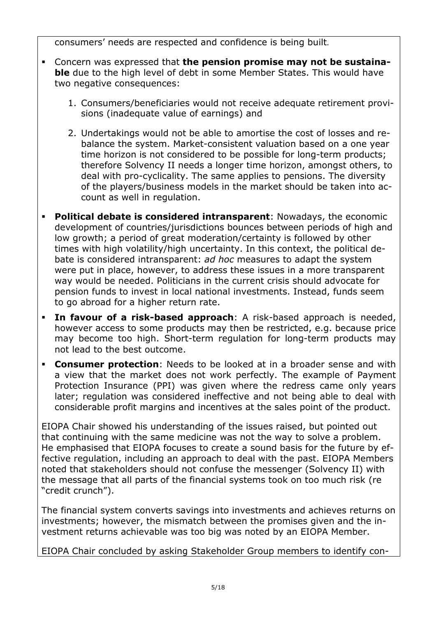consumers' needs are respected and confidence is being built.

- **Concern was expressed that the pension promise may not be sustainable** due to the high level of debt in some Member States. This would have two negative consequences:
	- 1. Consumers/beneficiaries would not receive adequate retirement provi sions (inadequate value of earnings) and
	- 2. Undertakings would not be able to amortise the cost of losses and re balance the system. Market consistent valuation based on a one year time horizon is not considered to be possible for long term products; therefore Solvency II needs a longer time horizon, amongst others, to deal with pro cyclicality. The same applies to pensions. The diversity of the players/business models in the market should be taken into ac count as well in regulation.
- **Political debate is considered intransparent**: Nowadays, the economic development of countries/jurisdictions bounces between periods of high and low growth; a period of great moderation/certainty is followed by other times with high volatility/high uncertainty. In this context, the political de bate is considered intransparent: *ad hoc* measures to adapt the system were put in place, however, to address these issues in a more transparent way would be needed. Politicians in the current crisis should advocate for pension funds to invest in local national investments. Instead, funds seem to go abroad for a higher return rate.
- **In favour of a risk-based approach**: A risk-based approach is needed, however access to some products may then be restricted, e.g. because price may become too high. Short-term regulation for long-term products may not lead to the best outcome.
- **Consumer protection**: Needs to be looked at in a broader sense and with a view that the market does not work perfectly. The example of Payment Protection Insurance (PPI) was given where the redress came only years later; regulation was considered ineffective and not being able to deal with considerable profit margins and incentives at the sales point of the product.

EIOPA Chair showed his understanding of the issues raised, but pointed out that continuing with the same medicine was not the way to solve a problem. He emphasised that EIOPA focuses to create a sound basis for the future by ef fective regulation, including an approach to deal with the past. EIOPA Members noted that stakeholders should not confuse the messenger (Solvency II) with the message that all parts of the financial systems took on too much risk (re "credit crunch").

The financial system converts savings into investments and achieves returns on investments; however, the mismatch between the promises given and the in vestment returns achievable was too big was noted by an EIOPA Member.

EIOPA Chair concluded by asking Stakeholder Group members to identify con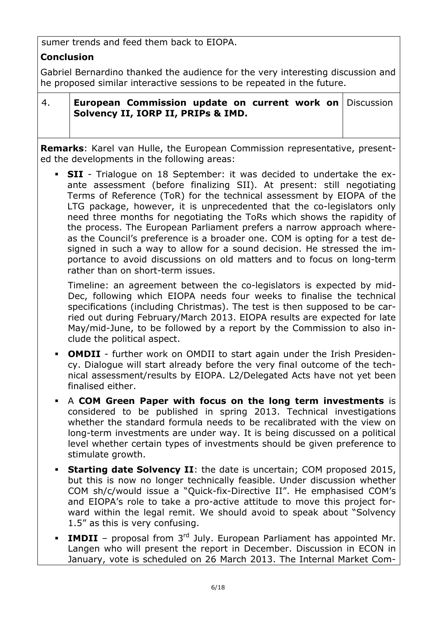sumer trends and feed them back to EIOPA.

# **Conclusion**

Gabriel Bernardino thanked the audience for the very interesting discussion and he proposed similar interactive sessions to be repeated in the future.

|--|

4. **European Commission update on current work on Solvency II, IORP II, PRIPs & IMD. Discussion** 

**Remarks**: Karel van Hulle, the European Commission representative, present ed the developments in the following areas:

**SII** - Trialogue on 18 September: it was decided to undertake the exante assessment (before finalizing SII). At present: still negotiating Terms of Reference (ToR) for the technical assessment by EIOPA of the LTG package, however, it is unprecedented that the co legislators only need three months for negotiating the ToRs which shows the rapidity of the process. The European Parliament prefers a narrow approach where as the Council's preference is a broader one. COM is opting for a test de signed in such a way to allow for a sound decision. He stressed the im portance to avoid discussions on old matters and to focus on long term rather than on short-term issues.

Timeline: an agreement between the co legislators is expected by mid Dec, following which EIOPA needs four weeks to finalise the technical specifications (including Christmas). The test is then supposed to be car ried out during February/March 2013. EIOPA results are expected for late May/mid June, to be followed by a report by the Commission to also in clude the political aspect.

- **OMDII** further work on OMDII to start again under the Irish Presidency. Dialogue will start already before the very final outcome of the tech nical assessment/results by EIOPA. L2/Delegated Acts have not yet been finalised either.
- A **COM Green Paper with focus on the long term investments** is considered to be published in spring 2013. Technical investigations whether the standard formula needs to be recalibrated with the view on long term investments are under way. It is being discussed on a political level whether certain types of investments should be given preference to stimulate growth.
- **Starting date Solvency II:** the date is uncertain; COM proposed 2015, but this is now no longer technically feasible. Under discussion whether COM sh/c/would issue a "Quick fix Directive II". He emphasised COM's and EIOPA's role to take a pro-active attitude to move this project forward within the legal remit. We should avoid to speak about "Solvency 1.5" as this is very confusing.
- **IMDII** proposal from 3<sup>rd</sup> July. European Parliament has appointed Mr. Langen who will present the report in December. Discussion in ECON in January, vote is scheduled on 26 March 2013. The Internal Market Com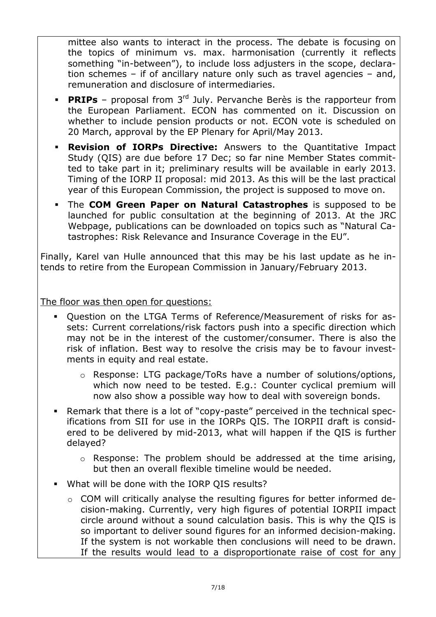mittee also wants to interact in the process. The debate is focusing on the topics of minimum vs. max. harmonisation (currently it reflects something "in between"), to include loss adjusters in the scope, declara tion schemes – if of ancillary nature only such as travel agencies – and, remuneration and disclosure of intermediaries.

- **PRIPs** proposal from 3<sup>rd</sup> July. Pervanche Berès is the rapporteur from the European Parliament. ECON has commented on it. Discussion on whether to include pension products or not. ECON vote is scheduled on 20 March, approval by the EP Plenary for April/May 2013.
- **Revision of IORPs Directive:** Answers to the Quantitative Impact Study (QIS) are due before 17 Dec; so far nine Member States commit ted to take part in it; preliminary results will be available in early 2013. Timing of the IORP II proposal: mid 2013. As this will be the last practical year of this European Commission, the project is supposed to move on.
- The **COM Green Paper on Natural Catastrophes** is supposed to be launched for public consultation at the beginning of 2013. At the JRC Webpage, publications can be downloaded on topics such as "Natural Ca tastrophes: Risk Relevance and Insurance Coverage in the EU".

Finally, Karel van Hulle announced that this may be his last update as he in tends to retire from the European Commission in January/February 2013.

The floor was then open for questions:

- Question on the LTGA Terms of Reference/Measurement of risks for as sets: Current correlations/risk factors push into a specific direction which may not be in the interest of the customer/consumer. There is also the risk of inflation. Best way to resolve the crisis may be to favour invest ments in equity and real estate.
	- o Response: LTG package/ToRs have a number of solutions/options, which now need to be tested. E.g.: Counter cyclical premium will now also show a possible way how to deal with sovereign bonds.
- Remark that there is a lot of "copy paste" perceived in the technical spec ifications from SII for use in the IORPs QIS. The IORPII draft is consid ered to be delivered by mid 2013, what will happen if the QIS is further delayed?
	- o Response: The problem should be addressed at the time arising, but then an overall flexible timeline would be needed.
- What will be done with the IORP QIS results?
	- $\circ$  COM will critically analyse the resulting figures for better informed decision making. Currently, very high figures of potential IORPII impact circle around without a sound calculation basis. This is why the QIS is so important to deliver sound figures for an informed decision making. If the system is not workable then conclusions will need to be drawn. If the results would lead to a disproportionate raise of cost for any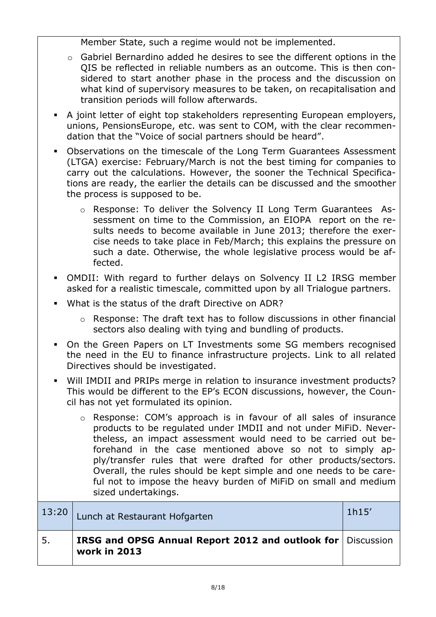Member State, such a regime would not be implemented.

- o Gabriel Bernardino added he desires to see the different options in the QIS be reflected in reliable numbers as an outcome. This is then con sidered to start another phase in the process and the discussion on what kind of supervisory measures to be taken, on recapitalisation and transition periods will follow afterwards.
- A joint letter of eight top stakeholders representing European employers, unions, PensionsEurope, etc. was sent to COM, with the clear recommen dation that the "Voice of social partners should be heard".
- Observations on the timescale of the Long Term Guarantees Assessment (LTGA) exercise: February/March is not the best timing for companies to carry out the calculations. However, the sooner the Technical Specifica tions are ready, the earlier the details can be discussed and the smoother the process is supposed to be.
	- o Response: To deliver the Solvency II Long Term Guarantees Assessment on time to the Commission, an EIOPA report on the re sults needs to become available in June 2013; therefore the exer cise needs to take place in Feb/March; this explains the pressure on such a date. Otherwise, the whole legislative process would be af fected.
- OMDII: With regard to further delays on Solvency II L2 IRSG member asked for a realistic timescale, committed upon by all Trialogue partners.
- What is the status of the draft Directive on ADR?
	- o Response: The draft text has to follow discussions in other financial sectors also dealing with tying and bundling of products.
- On the Green Papers on LT Investments some SG members recognised the need in the EU to finance infrastructure projects. Link to all related Directives should be investigated.
- Will IMDII and PRIPs merge in relation to insurance investment products? This would be different to the EP's ECON discussions, however, the Coun cil has not yet formulated its opinion.
	- o Response: COM's approach is in favour of all sales of insurance products to be regulated under IMDII and not under MiFiD. Never theless, an impact assessment would need to be carried out be forehand in the case mentioned above so not to simply ap ply/transfer rules that were drafted for other products/sectors. Overall, the rules should be kept simple and one needs to be care ful not to impose the heavy burden of MiFiD on small and medium sized undertakings.

| 13:20 | Lunch at Restaurant Hofgarten                                               | 1h15' |
|-------|-----------------------------------------------------------------------------|-------|
| 5.    | IRSG and OPSG Annual Report 2012 and outlook for Discussion<br>work in 2013 |       |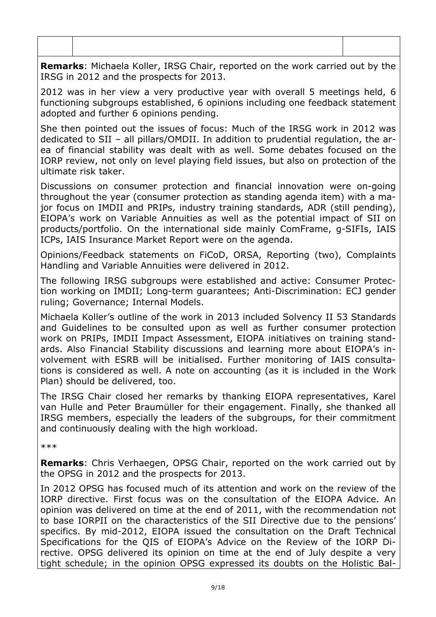**Remarks**: Michaela Koller, IRSG Chair, reported on the work carried out by the IRSG in 2012 and the prospects for 2013.

2012 was in her view a very productive year with overall 5 meetings held, 6 functioning subgroups established, 6 opinions including one feedback statement adopted and further 6 opinions pending.

She then pointed out the issues of focus: Much of the IRSG work in 2012 was dedicated to SII – all pillars/OMDII. In addition to prudential regulation, the ar ea of financial stability was dealt with as well. Some debates focused on the IORP review, not only on level playing field issues, but also on protection of the ultimate risk taker.

Discussions on consumer protection and financial innovation were on going throughout the year (consumer protection as standing agenda item) with a ma jor focus on IMDII and PRIPs, industry training standards, ADR (still pending), EIOPA's work on Variable Annuities as well as the potential impact of SII on products/portfolio. On the international side mainly ComFrame, g SIFIs, IAIS ICPs, IAIS Insurance Market Report were on the agenda.

Opinions/Feedback statements on FiCoD, ORSA, Reporting (two), Complaints Handling and Variable Annuities were delivered in 2012.

The following IRSG subgroups were established and active: Consumer Protec tion working on IMDII; Long-term guarantees; Anti-Discrimination: ECJ gender ruling; Governance; Internal Models.

Michaela Koller's outline of the work in 2013 included Solvency II 53 Standards and Guidelines to be consulted upon as well as further consumer protection work on PRIPs, IMDII Impact Assessment, EIOPA initiatives on training stand ards. Also Financial Stability discussions and learning more about EIOPA's in volvement with ESRB will be initialised. Further monitoring of IAIS consulta tions is considered as well. A note on accounting (as it is included in the Work Plan) should be delivered, too.

The IRSG Chair closed her remarks by thanking EIOPA representatives, Karel van Hulle and Peter Braumüller for their engagement. Finally, she thanked all IRSG members, especially the leaders of the subgroups, for their commitment and continuously dealing with the high workload.

\*\*\*

**Remarks**: Chris Verhaegen, OPSG Chair, reported on the work carried out by the OPSG in 2012 and the prospects for 2013.

In 2012 OPSG has focused much of its attention and work on the review of the IORP directive. First focus was on the consultation of the EIOPA Advice. An opinion was delivered on time at the end of 2011, with the recommendation not to base IORPII on the characteristics of the SII Directive due to the pensions' specifics. By mid 2012, EIOPA issued the consultation on the Draft Technical Specifications for the QIS of EIOPA's Advice on the Review of the IORP Di rective. OPSG delivered its opinion on time at the end of July despite a very tight schedule; in the opinion OPSG expressed its doubts on the Holistic Bal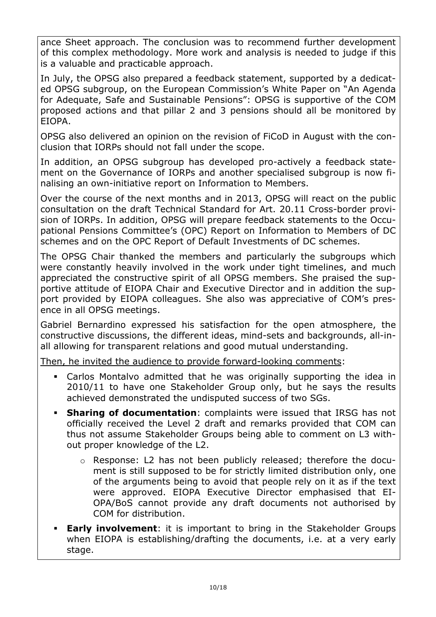ance Sheet approach. The conclusion was to recommend further development of this complex methodology. More work and analysis is needed to judge if this is a valuable and practicable approach.

In July, the OPSG also prepared a feedback statement, supported by a dedicat ed OPSG subgroup, on the European Commission's White Paper on "An Agenda for Adequate, Safe and Sustainable Pensions": OPSG is supportive of the COM proposed actions and that pillar 2 and 3 pensions should all be monitored by EIOPA.

OPSG also delivered an opinion on the revision of FiCoD in August with the con clusion that IORPs should not fall under the scope.

In addition, an OPSG subgroup has developed pro-actively a feedback statement on the Governance of IORPs and another specialised subgroup is now fi nalising an own initiative report on Information to Members.

Over the course of the next months and in 2013, OPSG will react on the public consultation on the draft Technical Standard for Art. 20.11 Cross border provi sion of IORPs. In addition, OPSG will prepare feedback statements to the Occu pational Pensions Committee's (OPC) Report on Information to Members of DC schemes and on the OPC Report of Default Investments of DC schemes.

The OPSG Chair thanked the members and particularly the subgroups which were constantly heavily involved in the work under tight timelines, and much appreciated the constructive spirit of all OPSG members. She praised the sup portive attitude of EIOPA Chair and Executive Director and in addition the sup port provided by EIOPA colleagues. She also was appreciative of COM's pres ence in all OPSG meetings.

Gabriel Bernardino expressed his satisfaction for the open atmosphere, the constructive discussions, the different ideas, mind-sets and backgrounds, all-inall allowing for transparent relations and good mutual understanding.

Then, he invited the audience to provide forward looking comments:

- Carlos Montalvo admitted that he was originally supporting the idea in 2010/11 to have one Stakeholder Group only, but he says the results achieved demonstrated the undisputed success of two SGs.
- **Sharing of documentation**: complaints were issued that IRSG has not officially received the Level 2 draft and remarks provided that COM can thus not assume Stakeholder Groups being able to comment on L3 with out proper knowledge of the L2.
	- o Response: L2 has not been publicly released; therefore the document is still supposed to be for strictly limited distribution only, one of the arguments being to avoid that people rely on it as if the text were approved. EIOPA Executive Director emphasised that EI OPA/BoS cannot provide any draft documents not authorised by COM for distribution.
- **Early involvement**: it is important to bring in the Stakeholder Groups when EIOPA is establishing/drafting the documents, i.e. at a very early stage.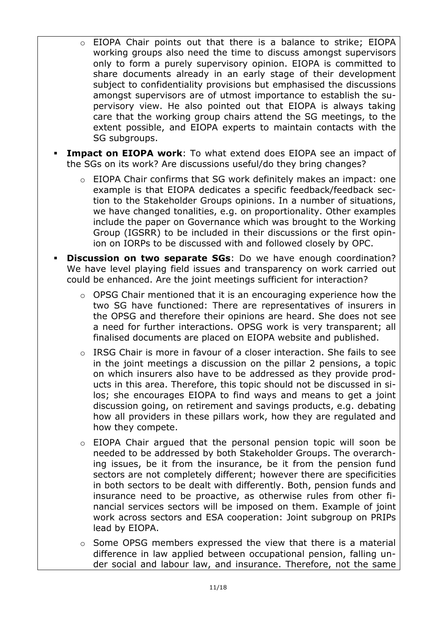- o EIOPA Chair points out that there is a balance to strike; EIOPA working groups also need the time to discuss amongst supervisors only to form a purely supervisory opinion. EIOPA is committed to share documents already in an early stage of their development subject to confidentiality provisions but emphasised the discussions amongst supervisors are of utmost importance to establish the su pervisory view. He also pointed out that EIOPA is always taking care that the working group chairs attend the SG meetings, to the extent possible, and EIOPA experts to maintain contacts with the SG subgroups.
- **Impact on EIOPA work:** To what extend does EIOPA see an impact of the SGs on its work? Are discussions useful/do they bring changes?
	- EIOPA Chair confirms that SG work definitely makes an impact: one example is that EIOPA dedicates a specific feedback/feedback sec tion to the Stakeholder Groups opinions. In a number of situations, we have changed tonalities, e.g. on proportionality. Other examples include the paper on Governance which was brought to the Working Group (IGSRR) to be included in their discussions or the first opin ion on IORPs to be discussed with and followed closely by OPC.
- **Discussion on two separate SGs**: Do we have enough coordination? We have level playing field issues and transparency on work carried out could be enhanced. Are the joint meetings sufficient for interaction?
	- o OPSG Chair mentioned that it is an encouraging experience how the two SG have functioned: There are representatives of insurers in the OPSG and therefore their opinions are heard. She does not see a need for further interactions. OPSG work is very transparent; all finalised documents are placed on EIOPA website and published.
	- o IRSG Chair is more in favour of a closer interaction. She fails to see in the joint meetings a discussion on the pillar 2 pensions, a topic on which insurers also have to be addressed as they provide prod ucts in this area. Therefore, this topic should not be discussed in si los; she encourages EIOPA to find ways and means to get a joint discussion going, on retirement and savings products, e.g. debating how all providers in these pillars work, how they are regulated and how they compete.
	- o EIOPA Chair argued that the personal pension topic will soon be needed to be addressed by both Stakeholder Groups. The overarch ing issues, be it from the insurance, be it from the pension fund sectors are not completely different; however there are specificities in both sectors to be dealt with differently. Both, pension funds and insurance need to be proactive, as otherwise rules from other fi nancial services sectors will be imposed on them. Example of joint work across sectors and ESA cooperation: Joint subgroup on PRIPs lead by EIOPA.
	- o Some OPSG members expressed the view that there is a material difference in law applied between occupational pension, falling un der social and labour law, and insurance. Therefore, not the same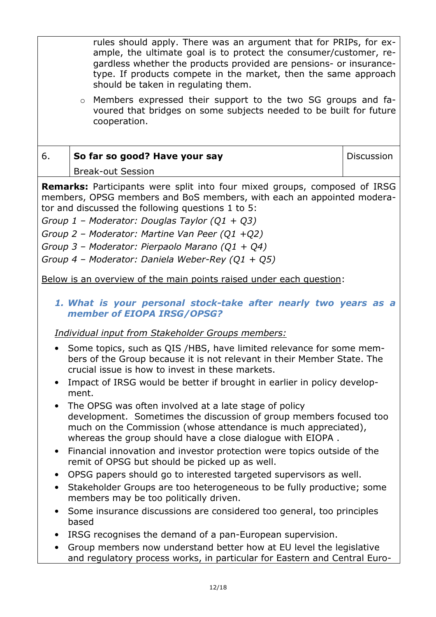rules should apply. There was an argument that for PRIPs, for ex ample, the ultimate goal is to protect the consumer/customer, re gardless whether the products provided are pensions or insurance type. If products compete in the market, then the same approach should be taken in regulating them.

 $\circ$  Members expressed their support to the two SG groups and favoured that bridges on some subjects needed to be built for future cooperation.

#### 6. **So far so good? Have your say** Break out Session **Discussion**

**Remarks:** Participants were split into four mixed groups, composed of IRSG members, OPSG members and BoS members, with each an appointed modera tor and discussed the following questions 1 to 5:

*Group 1 – Moderator: Douglas Taylor (Q1 + Q3)* 

*Group 2 – Moderator: Martine Van Peer (Q1 +Q2)* 

*Group 3 – Moderator: Pierpaolo Marano (Q1 + Q4)* 

Group 4 – Moderator: Daniela Weber-Rey (Q1 + Q5)

Below is an overview of the main points raised under each question:

#### 1. What is your personal stock-take after nearly two years as a *member of EIOPA IRSG/OPSG?*

## *Individual input from Stakeholder Groups members:*

- Some topics, such as QIS /HBS, have limited relevance for some mem bers of the Group because it is not relevant in their Member State. The crucial issue is how to invest in these markets.
- Impact of IRSG would be better if brought in earlier in policy development.
- The OPSG was often involved at a late stage of policy development. Sometimes the discussion of group members focused too much on the Commission (whose attendance is much appreciated), whereas the group should have a close dialogue with EIOPA.
- Financial innovation and investor protection were topics outside of the remit of OPSG but should be picked up as well.
- OPSG papers should go to interested targeted supervisors as well.
- Stakeholder Groups are too heterogeneous to be fully productive; some members may be too politically driven.
- Some insurance discussions are considered too general, too principles based
- IRSG recognises the demand of a pan European supervision.
- Group members now understand better how at EU level the legislative and regulatory process works, in particular for Eastern and Central Euro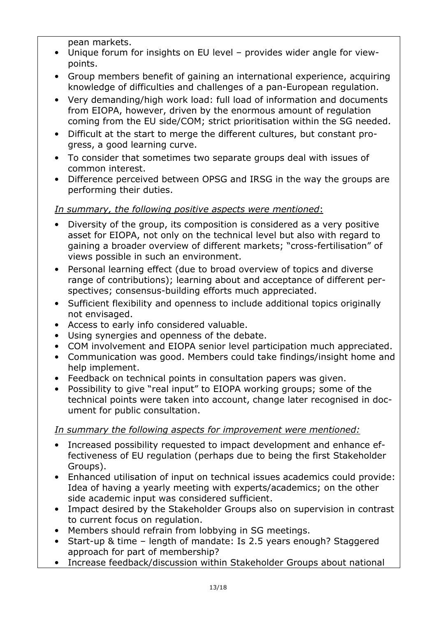pean markets.

- Unique forum for insights on EU level provides wider angle for view points.
- Group members benefit of gaining an international experience, acquiring knowledge of difficulties and challenges of a pan European regulation.
- Very demanding/high work load: full load of information and documents from EIOPA, however, driven by the enormous amount of regulation coming from the EU side/COM; strict prioritisation within the SG needed.
- Difficult at the start to merge the different cultures, but constant pro gress, a good learning curve.
- To consider that sometimes two separate groups deal with issues of common interest.
- Difference perceived between OPSG and IRSG in the way the groups are performing their duties.

#### *In summary, the following positive aspects were mentioned*:

- Diversity of the group, its composition is considered as a very positive asset for EIOPA, not only on the technical level but also with regard to gaining a broader overview of different markets; "cross fertilisation" of views possible in such an environment.
- Personal learning effect (due to broad overview of topics and diverse range of contributions); learning about and acceptance of different per spectives; consensus-building efforts much appreciated.
- Sufficient flexibility and openness to include additional topics originally not envisaged.
- Access to early info considered valuable.
- Using synergies and openness of the debate.
- COM involvement and EIOPA senior level participation much appreciated.
- Communication was good. Members could take findings/insight home and help implement.
- Feedback on technical points in consultation papers was given.
- Possibility to give "real input" to EIOPA working groups; some of the technical points were taken into account, change later recognised in doc ument for public consultation.

#### *In summary the following aspects for improvement were mentioned:*

- Increased possibility requested to impact development and enhance ef fectiveness of EU regulation (perhaps due to being the first Stakeholder Groups).
- Enhanced utilisation of input on technical issues academics could provide: Idea of having a yearly meeting with experts/academics; on the other side academic input was considered sufficient.
- Impact desired by the Stakeholder Groups also on supervision in contrast to current focus on regulation.
- Members should refrain from lobbying in SG meetings.
- Start up & time length of mandate: Is 2.5 years enough? Staggered approach for part of membership?
- Increase feedback/discussion within Stakeholder Groups about national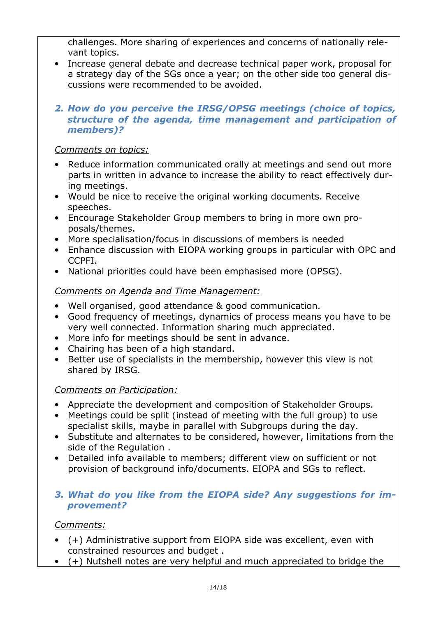challenges. More sharing of experiences and concerns of nationally rele vant topics.

- Increase general debate and decrease technical paper work, proposal for a strategy day of the SGs once a year; on the other side too general dis cussions were recommended to be avoided.
- *2. How do you perceive the IRSG/OPSG meetings (choice of topics, structure of the agenda, time management and participation of members)?*

#### *Comments on topics:*

- Reduce information communicated orally at meetings and send out more parts in written in advance to increase the ability to react effectively dur ing meetings.
- Would be nice to receive the original working documents. Receive speeches.
- Encourage Stakeholder Group members to bring in more own pro posals/themes.
- More specialisation/focus in discussions of members is needed
- Enhance discussion with EIOPA working groups in particular with OPC and CCPFI.
- National priorities could have been emphasised more (OPSG).

#### *Comments on Agenda and Time Management:*

- Well organised, good attendance & good communication.
- Good frequency of meetings, dynamics of process means you have to be very well connected. Information sharing much appreciated.
- More info for meetings should be sent in advance.
- Chairing has been of a high standard.
- Better use of specialists in the membership, however this view is not shared by IRSG.

## *Comments on Participation:*

- Appreciate the development and composition of Stakeholder Groups.
- Meetings could be split (instead of meeting with the full group) to use specialist skills, maybe in parallel with Subgroups during the day.
- Substitute and alternates to be considered, however, limitations from the side of the Regulation .
- Detailed info available to members; different view on sufficient or not provision of background info/documents. EIOPA and SGs to reflect.

#### *3. What do you like from the EIOPA side? Any suggestions for im provement?*

## *Comments:*

- (+) Administrative support from EIOPA side was excellent, even with constrained resources and budget .
- (+) Nutshell notes are very helpful and much appreciated to bridge the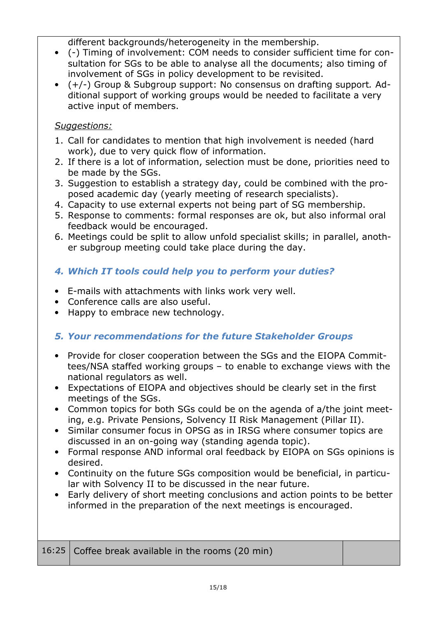different backgrounds/heterogeneity in the membership.

- ( ) Timing of involvement: COM needs to consider sufficient time for con sultation for SGs to be able to analyse all the documents; also timing of involvement of SGs in policy development to be revisited.
- (+/ ) Group & Subgroup support: No consensus on drafting support*.* Ad ditional support of working groups would be needed to facilitate a very active input of members.

#### *Suggestions:*

- 1. Call for candidates to mention that high involvement is needed (hard work), due to very quick flow of information.
- 2. If there is a lot of information, selection must be done, priorities need to be made by the SGs.
- 3. Suggestion to establish a strategy day, could be combined with the pro posed academic day (yearly meeting of research specialists).
- 4. Capacity to use external experts not being part of SG membership.
- 5. Response to comments: formal responses are ok, but also informal oral feedback would be encouraged.
- 6. Meetings could be split to allow unfold specialist skills; in parallel, anoth er subgroup meeting could take place during the day.

# *4. Which IT tools could help you to perform your duties?*

- E mails with attachments with links work very well.
- Conference calls are also useful.
- Happy to embrace new technology.

## *5. Your recommendations for the future Stakeholder Groups*

- Provide for closer cooperation between the SGs and the EIOPA Commit tees/NSA staffed working groups – to enable to exchange views with the national regulators as well.
- Expectations of EIOPA and objectives should be clearly set in the first meetings of the SGs.
- Common topics for both SGs could be on the agenda of a/the joint meet ing, e.g. Private Pensions, Solvency II Risk Management (Pillar II).
- Similar consumer focus in OPSG as in IRSG where consumer topics are discussed in an on going way (standing agenda topic).
- Formal response AND informal oral feedback by EIOPA on SGs opinions is desired.
- Continuity on the future SGs composition would be beneficial, in particu lar with Solvency II to be discussed in the near future.
- Early delivery of short meeting conclusions and action points to be better informed in the preparation of the next meetings is encouraged.

| 16:25   Coffee break available in the rooms (20 min) |  |
|------------------------------------------------------|--|
|                                                      |  |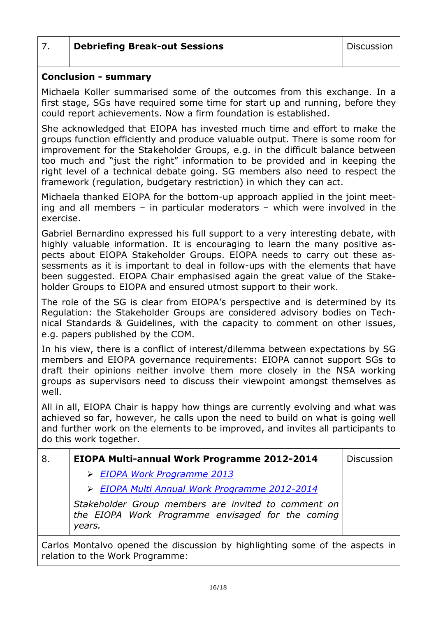# 7. **Debriefing Break-out Sessions Discussion**

#### **Conclusion - summary**

Michaela Koller summarised some of the outcomes from this exchange. In a first stage, SGs have required some time for start up and running, before they could report achievements. Now a firm foundation is established.

She acknowledged that EIOPA has invested much time and effort to make the groups function efficiently and produce valuable output. There is some room for improvement for the Stakeholder Groups, e.g. in the difficult balance between too much and "just the right" information to be provided and in keeping the right level of a technical debate going. SG members also need to respect the framework (regulation, budgetary restriction) in which they can act.

Michaela thanked EIOPA for the bottom up approach applied in the joint meet ing and all members – in particular moderators – which were involved in the exercise.

Gabriel Bernardino expressed his full support to a very interesting debate, with highly valuable information. It is encouraging to learn the many positive as pects about EIOPA Stakeholder Groups. EIOPA needs to carry out these as sessments as it is important to deal in follow ups with the elements that have been suggested. EIOPA Chair emphasised again the great value of the Stake holder Groups to EIOPA and ensured utmost support to their work.

The role of the SG is clear from EIOPA's perspective and is determined by its Regulation: the Stakeholder Groups are considered advisory bodies on Tech nical Standards & Guidelines, with the capacity to comment on other issues, e.g. papers published by the COM.

In his view, there is a conflict of interest/dilemma between expectations by SG members and EIOPA governance requirements: EIOPA cannot support SGs to draft their opinions neither involve them more closely in the NSA working groups as supervisors need to discuss their viewpoint amongst themselves as well.

All in all, EIOPA Chair is happy how things are currently evolving and what was achieved so far, however, he calls upon the need to build on what is going well and further work on the elements to be improved, and invites all participants to do this work together.

| 8. | <b>EIOPA Multi-annual Work Programme 2012-2014</b>                                                                 | <b>Discussion</b> |
|----|--------------------------------------------------------------------------------------------------------------------|-------------------|
|    | > EIOPA Work Programme 2013                                                                                        |                   |
|    | > EIOPA Multi Annual Work Programme 2012-2014                                                                      |                   |
|    | Stakeholder Group members are invited to comment on<br>the EIOPA Work Programme envisaged for the coming<br>years. |                   |
|    | Carles Montalus apaped the disquesion by bighlighting same of the capacte in                                       |                   |

Carlos Montalvo opened the discussion by highlighting some of the aspects in relation to the Work Programme: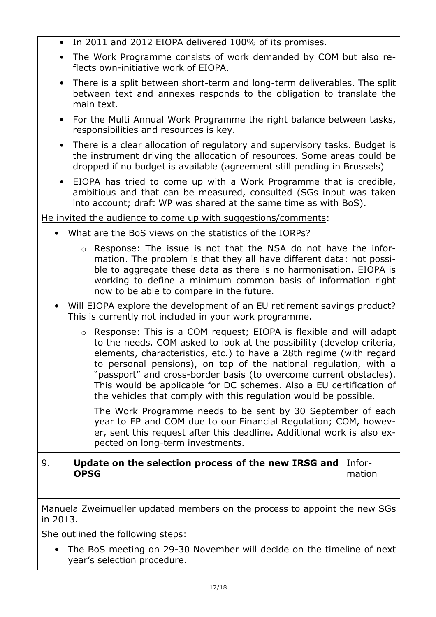- In 2011 and 2012 EIOPA delivered 100% of its promises.
- The Work Programme consists of work demanded by COM but also re flects own initiative work of EIOPA.
- There is a split between short-term and long-term deliverables. The split between text and annexes responds to the obligation to translate the main text.
- For the Multi Annual Work Programme the right balance between tasks, responsibilities and resources is key.
- There is a clear allocation of regulatory and supervisory tasks. Budget is the instrument driving the allocation of resources. Some areas could be dropped if no budget is available (agreement still pending in Brussels)
- EIOPA has tried to come up with a Work Programme that is credible, ambitious and that can be measured, consulted (SGs input was taken into account; draft WP was shared at the same time as with BoS).

He invited the audience to come up with suggestions/comments:

- What are the BoS views on the statistics of the IORPs?
	- $\circ$  Response: The issue is not that the NSA do not have the information. The problem is that they all have different data: not possi ble to aggregate these data as there is no harmonisation. EIOPA is working to define a minimum common basis of information right now to be able to compare in the future.
- Will EIOPA explore the development of an EU retirement savings product? This is currently not included in your work programme.
	- o Response: This is a COM request; EIOPA is flexible and will adapt to the needs. COM asked to look at the possibility (develop criteria, elements, characteristics, etc.) to have a 28th regime (with regard to personal pensions), on top of the national regulation, with a "passport" and cross-border basis (to overcome current obstacles). This would be applicable for DC schemes. Also a EU certification of the vehicles that comply with this regulation would be possible.

The Work Programme needs to be sent by 30 September of each year to EP and COM due to our Financial Regulation; COM, howev er, sent this request after this deadline. Additional work is also ex pected on long term investments.

#### 9. **Update on the selection process of the new IRSG and OPSG**  Infor

mation

Manuela Zweimueller updated members on the process to appoint the new SGs in 2013.

She outlined the following steps:

• The BoS meeting on 29 30 November will decide on the timeline of next year's selection procedure.